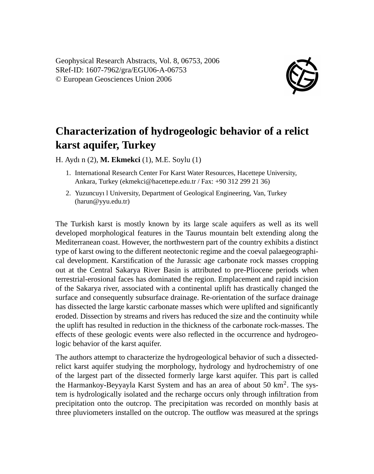

## **Characterization of hydrogeologic behavior of a relict karst aquifer, Turkey**

H. Aydı n (2), **M. Ekmekci** (1), M.E. Soylu (1)

- 1. International Research Center For Karst Water Resources, Hacettepe University, Ankara, Turkey (ekmekci@hacettepe.edu.tr / Fax: +90 312 299 21 36)
- 2. Yuzuncuyı l University, Department of Geological Engineering, Van, Turkey (harun@yyu.edu.tr)

The Turkish karst is mostly known by its large scale aquifers as well as its well developed morphological features in the Taurus mountain belt extending along the Mediterranean coast. However, the northwestern part of the country exhibits a distinct type of karst owing to the different neotectonic regime and the coeval palaegeographical development. Karstification of the Jurassic age carbonate rock masses cropping out at the Central Sakarya River Basin is attributed to pre-Pliocene periods when terrestrial-erosional faces has dominated the region. Emplacement and rapid incision of the Sakarya river, associated with a continental uplift has drastically changed the surface and consequently subsurface drainage. Re-orientation of the surface drainage has dissected the large karstic carbonate masses which were uplifted and significantly eroded. Dissection by streams and rivers has reduced the size and the continuity while the uplift has resulted in reduction in the thickness of the carbonate rock-masses. The effects of these geologic events were also reflected in the occurrence and hydrogeologic behavior of the karst aquifer.

The authors attempt to characterize the hydrogeological behavior of such a dissectedrelict karst aquifer studying the morphology, hydrology and hydrochemistry of one of the largest part of the dissected formerly large karst aquifer. This part is called the Harmankoy-Beyyayla Karst System and has an area of about 50 km<sup>2</sup>. The system is hydrologically isolated and the recharge occurs only through infiltration from precipitation onto the outcrop. The precipitation was recorded on monthly basis at three pluviometers installed on the outcrop. The outflow was measured at the springs